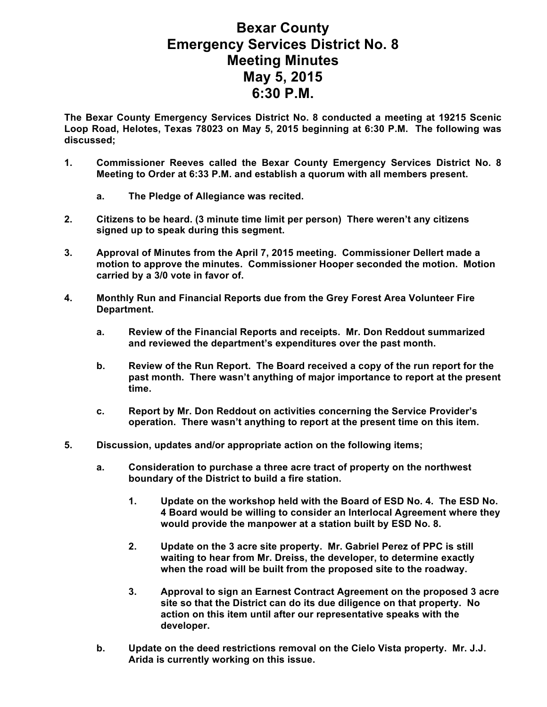## **Bexar County Emergency Services District No. 8 Meeting Minutes May 5, 2015 6:30 P.M.**

**The Bexar County Emergency Services District No. 8 conducted a meeting at 19215 Scenic Loop Road, Helotes, Texas 78023 on May 5, 2015 beginning at 6:30 P.M. The following was discussed;**

- **1. Commissioner Reeves called the Bexar County Emergency Services District No. 8 Meeting to Order at 6:33 P.M. and establish a quorum with all members present.** 
	- **a. The Pledge of Allegiance was recited.**
- **2. Citizens to be heard. (3 minute time limit per person) There weren't any citizens signed up to speak during this segment.**
- **3. Approval of Minutes from the April 7, 2015 meeting. Commissioner Dellert made a motion to approve the minutes. Commissioner Hooper seconded the motion. Motion carried by a 3/0 vote in favor of.**
- **4. Monthly Run and Financial Reports due from the Grey Forest Area Volunteer Fire Department.**
	- **a. Review of the Financial Reports and receipts. Mr. Don Reddout summarized and reviewed the department's expenditures over the past month.**
	- **b. Review of the Run Report. The Board received a copy of the run report for the past month. There wasn't anything of major importance to report at the present time.**
	- **c. Report by Mr. Don Reddout on activities concerning the Service Provider's operation. There wasn't anything to report at the present time on this item.**
- **5. Discussion, updates and/or appropriate action on the following items;**
	- **a. Consideration to purchase a three acre tract of property on the northwest boundary of the District to build a fire station.**
		- **1. Update on the workshop held with the Board of ESD No. 4. The ESD No. 4 Board would be willing to consider an Interlocal Agreement where they would provide the manpower at a station built by ESD No. 8.**
		- **2. Update on the 3 acre site property. Mr. Gabriel Perez of PPC is still waiting to hear from Mr. Dreiss, the developer, to determine exactly when the road will be built from the proposed site to the roadway.**
		- **3. Approval to sign an Earnest Contract Agreement on the proposed 3 acre site so that the District can do its due diligence on that property. No action on this item until after our representative speaks with the developer.**
	- **b. Update on the deed restrictions removal on the Cielo Vista property. Mr. J.J. Arida is currently working on this issue.**